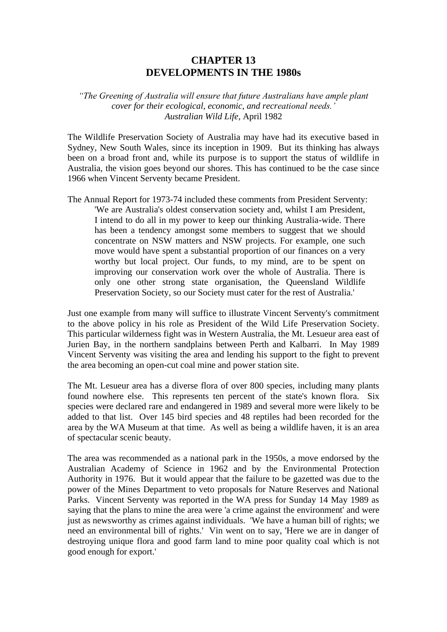# **CHAPTER 13 DEVELOPMENTS IN THE 1980s**

### *"The Greening of Australia will ensure that future Australians have ample plant cover for their ecological, economic, and recreational needs.' Australian Wild Life,* April 1982

The Wildlife Preservation Society of Australia may have had its executive based in Sydney, New South Wales, since its inception in 1909. But its thinking has always been on a broad front and, while its purpose is to support the status of wildlife in Australia, the vision goes beyond our shores. This has continued to be the case since 1966 when Vincent Serventy became President.

The Annual Report for 1973-74 included these comments from President Serventy: 'We are Australia's oldest conservation society and, whilst I am President, I intend to do all in my power to keep our thinking Australia-wide. There has been a tendency amongst some members to suggest that we should concentrate on NSW matters and NSW projects. For example, one such move would have spent a substantial proportion of our finances on a very worthy but local project. Our funds, to my mind, are to be spent on improving our conservation work over the whole of Australia. There is only one other strong state organisation, the Queensland Wildlife Preservation Society, so our Society must cater for the rest of Australia.'

Just one example from many will suffice to illustrate Vincent Serventy's commitment to the above policy in his role as President of the Wild Life Preservation Society. This particular wilderness fight was in Western Australia, the Mt. Lesueur area east of Jurien Bay, in the northern sandplains between Perth and Kalbarri. In May 1989 Vincent Serventy was visiting the area and lending his support to the fight to prevent the area becoming an open-cut coal mine and power station site.

The Mt. Lesueur area has a diverse flora of over 800 species, including many plants found nowhere else. This represents ten percent of the state's known flora. Six species were declared rare and endangered in 1989 and several more were likely to be added to that list. Over 145 bird species and 48 reptiles had been recorded for the area by the WA Museum at that time. As well as being a wildlife haven, it is an area of spectacular scenic beauty.

The area was recommended as a national park in the 1950s, a move endorsed by the Australian Academy of Science in 1962 and by the Environmental Protection Authority in 1976. But it would appear that the failure to be gazetted was due to the power of the Mines Department to veto proposals for Nature Reserves and National Parks. Vincent Serventy was reported in the WA press for Sunday 14 May 1989 as saying that the plans to mine the area were 'a crime against the environment' and were just as newsworthy as crimes against individuals. 'We have a human bill of rights; we need an environmental bill of rights.' Vin went on to say, 'Here we are in danger of destroying unique flora and good farm land to mine poor quality coal which is not good enough for export.'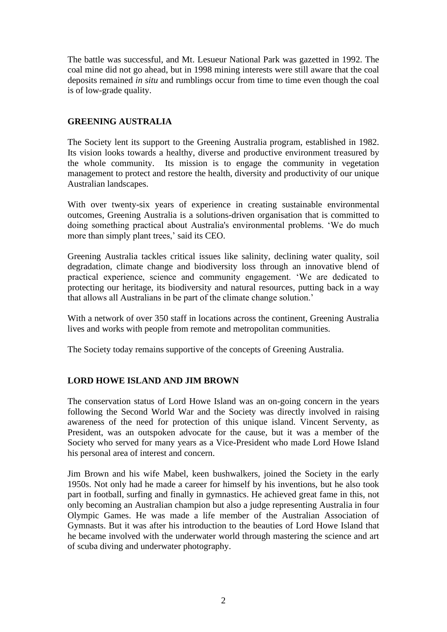The battle was successful, and Mt. Lesueur National Park was gazetted in 1992. The coal mine did not go ahead, but in 1998 mining interests were still aware that the coal deposits remained *in situ* and rumblings occur from time to time even though the coal is of low-grade quality.

### **GREENING AUSTRALIA**

The Society lent its support to the Greening Australia program, established in 1982. Its vision looks towards a healthy, diverse and productive environment treasured by the whole community. Its mission is to engage the community in vegetation management to protect and restore the health, diversity and productivity of our unique Australian landscapes.

With over twenty-six years of experience in creating sustainable environmental outcomes, Greening Australia is a solutions-driven organisation that is committed to doing something practical about Australia's environmental problems. 'We do much more than simply plant trees,' said its CEO.

Greening Australia tackles critical issues like salinity, declining water quality, soil degradation, climate change and biodiversity loss through an innovative blend of practical experience, science and community engagement. 'We are dedicated to protecting our heritage, its biodiversity and natural resources, putting back in a way that allows all Australians in be part of the climate change solution.'

With a network of over 350 staff in locations across the continent, Greening Australia lives and works with people from remote and metropolitan communities.

The Society today remains supportive of the concepts of Greening Australia.

# **LORD HOWE ISLAND AND JIM BROWN**

The conservation status of Lord Howe Island was an on-going concern in the years following the Second World War and the Society was directly involved in raising awareness of the need for protection of this unique island. Vincent Serventy, as President, was an outspoken advocate for the cause, but it was a member of the Society who served for many years as a Vice-President who made Lord Howe Island his personal area of interest and concern.

Jim Brown and his wife Mabel, keen bushwalkers, joined the Society in the early 1950s. Not only had he made a career for himself by his inventions, but he also took part in football, surfing and finally in gymnastics. He achieved great fame in this, not only becoming an Australian champion but also a judge representing Australia in four Olympic Games. He was made a life member of the Australian Association of Gymnasts. But it was after his introduction to the beauties of Lord Howe Island that he became involved with the underwater world through mastering the science and art of scuba diving and underwater photography.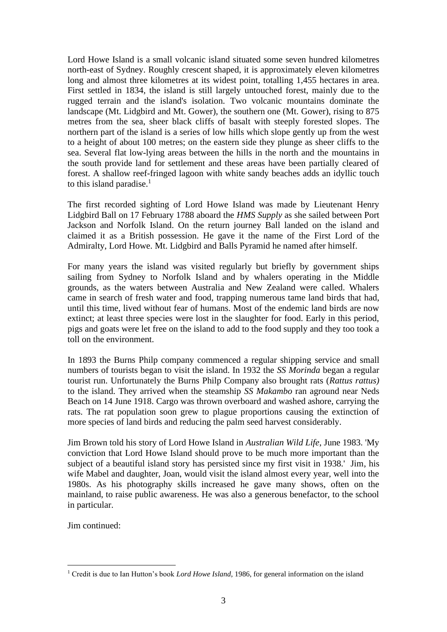Lord Howe Island is a small volcanic island situated some seven hundred kilometres north-east of Sydney. Roughly crescent shaped, it is approximately eleven kilometres long and almost three kilometres at its widest point, totalling 1,455 hectares in area. First settled in 1834, the island is still largely untouched forest, mainly due to the rugged terrain and the island's isolation. Two volcanic mountains dominate the landscape (Mt. Lidgbird and Mt. Gower), the southern one (Mt. Gower), rising to 875 metres from the sea, sheer black cliffs of basalt with steeply forested slopes. The northern part of the island is a series of low hills which slope gently up from the west to a height of about 100 metres; on the eastern side they plunge as sheer cliffs to the sea. Several flat low-lying areas between the hills in the north and the mountains in the south provide land for settlement and these areas have been partially cleared of forest. A shallow reef-fringed lagoon with white sandy beaches adds an idyllic touch to this island paradise. $<sup>1</sup>$ </sup>

The first recorded sighting of Lord Howe Island was made by Lieutenant Henry Lidgbird Ball on 17 February 1788 aboard the *HMS Supply* as she sailed between Port Jackson and Norfolk Island. On the return journey Ball landed on the island and claimed it as a British possession. He gave it the name of the First Lord of the Admiralty, Lord Howe. Mt. Lidgbird and Balls Pyramid he named after himself.

For many years the island was visited regularly but briefly by government ships sailing from Sydney to Norfolk Island and by whalers operating in the Middle grounds, as the waters between Australia and New Zealand were called. Whalers came in search of fresh water and food, trapping numerous tame land birds that had, until this time, lived without fear of humans. Most of the endemic land birds are now extinct; at least three species were lost in the slaughter for food. Early in this period, pigs and goats were let free on the island to add to the food supply and they too took a toll on the environment.

In 1893 the Burns Philp company commenced a regular shipping service and small numbers of tourists began to visit the island. In 1932 the *SS Morinda* began a regular tourist run. Unfortunately the Burns Philp Company also brought rats (*Rattus rattus)* to the island. They arrived when the steamship *SS Makambo* ran aground near Neds Beach on 14 June 1918. Cargo was thrown overboard and washed ashore, carrying the rats. The rat population soon grew to plague proportions causing the extinction of more species of land birds and reducing the palm seed harvest considerably.

Jim Brown told his story of Lord Howe Island in *Australian Wild Life*, June 1983. 'My conviction that Lord Howe Island should prove to be much more important than the subject of a beautiful island story has persisted since my first visit in 1938.' Jim, his wife Mabel and daughter, Joan, would visit the island almost every year, well into the 1980s. As his photography skills increased he gave many shows, often on the mainland, to raise public awareness. He was also a generous benefactor, to the school in particular.

Jim continued:

<sup>&</sup>lt;sup>1</sup> Credit is due to Ian Hutton's book *Lord Howe Island*, 1986, for general information on the island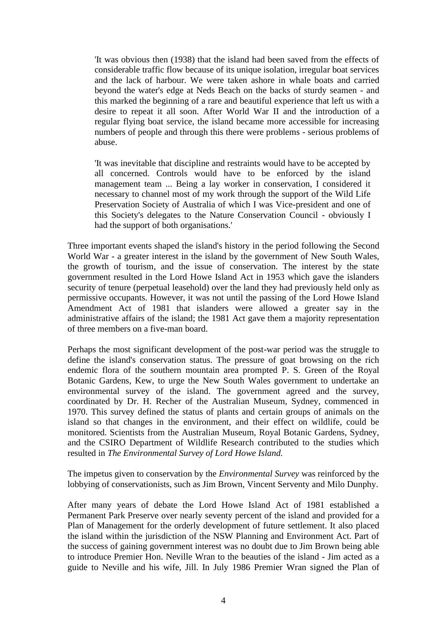'It was obvious then (1938) that the island had been saved from the effects of considerable traffic flow because of its unique isolation, irregular boat services and the lack of harbour. We were taken ashore in whale boats and carried beyond the water's edge at Neds Beach on the backs of sturdy seamen - and this marked the beginning of a rare and beautiful experience that left us with a desire to repeat it all soon. After World War II and the introduction of a regular flying boat service, the island became more accessible for increasing numbers of people and through this there were problems - serious problems of abuse.

'It was inevitable that discipline and restraints would have to be accepted by all concerned. Controls would have to be enforced by the island management team ... Being a lay worker in conservation, I considered it necessary to channel most of my work through the support of the Wild Life Preservation Society of Australia of which I was Vice-president and one of this Society's delegates to the Nature Conservation Council - obviously I had the support of both organisations.'

Three important events shaped the island's history in the period following the Second World War - a greater interest in the island by the government of New South Wales, the growth of tourism, and the issue of conservation. The interest by the state government resulted in the Lord Howe Island Act in 1953 which gave the islanders security of tenure (perpetual leasehold) over the land they had previously held only as permissive occupants. However, it was not until the passing of the Lord Howe Island Amendment Act of 1981 that islanders were allowed a greater say in the administrative affairs of the island; the 1981 Act gave them a majority representation of three members on a five-man board.

Perhaps the most significant development of the post-war period was the struggle to define the island's conservation status. The pressure of goat browsing on the rich endemic flora of the southern mountain area prompted P. S. Green of the Royal Botanic Gardens, Kew, to urge the New South Wales government to undertake an environmental survey of the island. The government agreed and the survey, coordinated by Dr. H. Recher of the Australian Museum, Sydney, commenced in 1970. This survey defined the status of plants and certain groups of animals on the island so that changes in the environment, and their effect on wildlife, could be monitored. Scientists from the Australian Museum, Royal Botanic Gardens, Sydney, and the CSIRO Department of Wildlife Research contributed to the studies which resulted in *The Environmental Survey of Lord Howe Island.*

The impetus given to conservation by the *Environmental Survey* was reinforced by the lobbying of conservationists, such as Jim Brown, Vincent Serventy and Milo Dunphy.

After many years of debate the Lord Howe Island Act of 1981 established a Permanent Park Preserve over nearly seventy percent of the island and provided for a Plan of Management for the orderly development of future settlement. It also placed the island within the jurisdiction of the NSW Planning and Environment Act. Part of the success of gaining government interest was no doubt due to Jim Brown being able to introduce Premier Hon. Neville Wran to the beauties of the island - Jim acted as a guide to Neville and his wife, Jill. In July 1986 Premier Wran signed the Plan of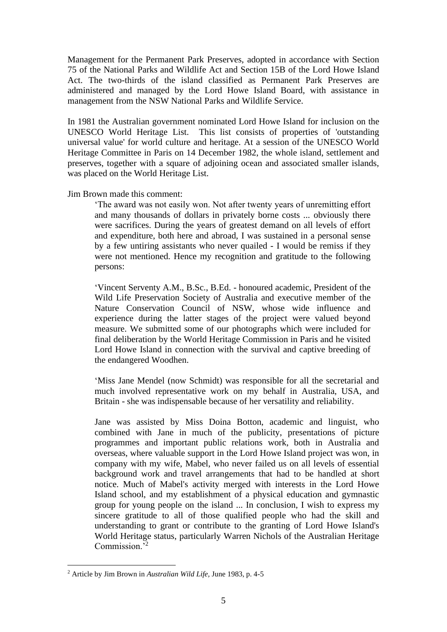Management for the Permanent Park Preserves, adopted in accordance with Section 75 of the National Parks and Wildlife Act and Section 15B of the Lord Howe Island Act. The two-thirds of the island classified as Permanent Park Preserves are administered and managed by the Lord Howe Island Board, with assistance in management from the NSW National Parks and Wildlife Service.

In 1981 the Australian government nominated Lord Howe Island for inclusion on the UNESCO World Heritage List. This list consists of properties of 'outstanding universal value' for world culture and heritage. At a session of the UNESCO World Heritage Committee in Paris on 14 December 1982, the whole island, settlement and preserves, together with a square of adjoining ocean and associated smaller islands, was placed on the World Heritage List.

Jim Brown made this comment:

'The award was not easily won. Not after twenty years of unremitting effort and many thousands of dollars in privately borne costs ... obviously there were sacrifices. During the years of greatest demand on all levels of effort and expenditure, both here and abroad, I was sustained in a personal sense by a few untiring assistants who never quailed - I would be remiss if they were not mentioned. Hence my recognition and gratitude to the following persons:

'Vincent Serventy A.M., B.Sc., B.Ed. - honoured academic, President of the Wild Life Preservation Society of Australia and executive member of the Nature Conservation Council of NSW, whose wide influence and experience during the latter stages of the project were valued beyond measure. We submitted some of our photographs which were included for final deliberation by the World Heritage Commission in Paris and he visited Lord Howe Island in connection with the survival and captive breeding of the endangered Woodhen.

'Miss Jane Mendel (now Schmidt) was responsible for all the secretarial and much involved representative work on my behalf in Australia, USA, and Britain - she was indispensable because of her versatility and reliability.

Jane was assisted by Miss Doina Botton, academic and linguist, who combined with Jane in much of the publicity, presentations of picture programmes and important public relations work, both in Australia and overseas, where valuable support in the Lord Howe Island project was won, in company with my wife, Mabel, who never failed us on all levels of essential background work and travel arrangements that had to be handled at short notice. Much of Mabel's activity merged with interests in the Lord Howe Island school, and my establishment of a physical education and gymnastic group for young people on the island ... In conclusion, I wish to express my sincere gratitude to all of those qualified people who had the skill and understanding to grant or contribute to the granting of Lord Howe Island's World Heritage status, particularly Warren Nichols of the Australian Heritage Commission.<sup>52</sup>

<sup>2</sup> Article by Jim Brown in *Australian Wild Life,* June 1983, p. 4-5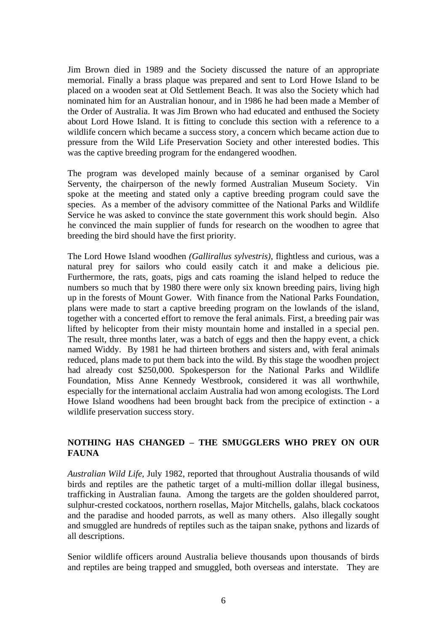Jim Brown died in 1989 and the Society discussed the nature of an appropriate memorial. Finally a brass plaque was prepared and sent to Lord Howe Island to be placed on a wooden seat at Old Settlement Beach. It was also the Society which had nominated him for an Australian honour, and in 1986 he had been made a Member of the Order of Australia. It was Jim Brown who had educated and enthused the Society about Lord Howe Island. It is fitting to conclude this section with a reference to a wildlife concern which became a success story, a concern which became action due to pressure from the Wild Life Preservation Society and other interested bodies. This was the captive breeding program for the endangered woodhen.

The program was developed mainly because of a seminar organised by Carol Serventy, the chairperson of the newly formed Australian Museum Society. Vin spoke at the meeting and stated only a captive breeding program could save the species. As a member of the advisory committee of the National Parks and Wildlife Service he was asked to convince the state government this work should begin. Also he convinced the main supplier of funds for research on the woodhen to agree that breeding the bird should have the first priority.

The Lord Howe Island woodhen *(Gallirallus sylvestris)*, flightless and curious, was a natural prey for sailors who could easily catch it and make a delicious pie. Furthermore, the rats, goats, pigs and cats roaming the island helped to reduce the numbers so much that by 1980 there were only six known breeding pairs, living high up in the forests of Mount Gower. With finance from the National Parks Foundation, plans were made to start a captive breeding program on the lowlands of the island, together with a concerted effort to remove the feral animals. First, a breeding pair was lifted by helicopter from their misty mountain home and installed in a special pen. The result, three months later, was a batch of eggs and then the happy event, a chick named Widdy. By 1981 he had thirteen brothers and sisters and, with feral animals reduced, plans made to put them back into the wild. By this stage the woodhen project had already cost \$250,000. Spokesperson for the National Parks and Wildlife Foundation, Miss Anne Kennedy Westbrook, considered it was all worthwhile, especially for the international acclaim Australia had won among ecologists. The Lord Howe Island woodhens had been brought back from the precipice of extinction - a wildlife preservation success story.

# **NOTHING HAS CHANGED – THE SMUGGLERS WHO PREY ON OUR FAUNA**

*Australian Wild Life*, July 1982, reported that throughout Australia thousands of wild birds and reptiles are the pathetic target of a multi-million dollar illegal business, trafficking in Australian fauna. Among the targets are the golden shouldered parrot, sulphur-crested cockatoos, northern rosellas, Major Mitchells, galahs, black cockatoos and the paradise and hooded parrots, as well as many others. Also illegally sought and smuggled are hundreds of reptiles such as the taipan snake, pythons and lizards of all descriptions.

Senior wildlife officers around Australia believe thousands upon thousands of birds and reptiles are being trapped and smuggled, both overseas and interstate. They are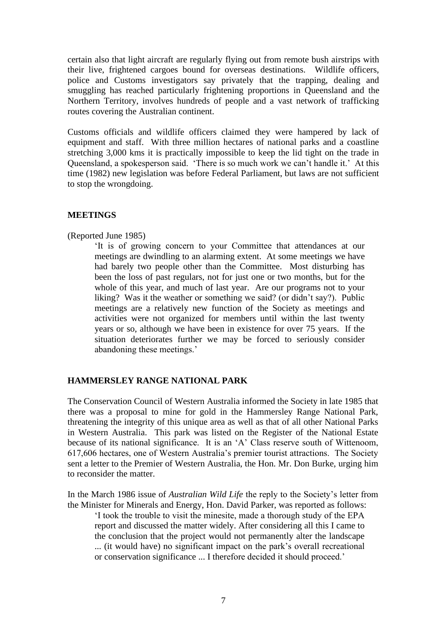certain also that light aircraft are regularly flying out from remote bush airstrips with their live, frightened cargoes bound for overseas destinations. Wildlife officers, police and Customs investigators say privately that the trapping, dealing and smuggling has reached particularly frightening proportions in Queensland and the Northern Territory, involves hundreds of people and a vast network of trafficking routes covering the Australian continent.

Customs officials and wildlife officers claimed they were hampered by lack of equipment and staff. With three million hectares of national parks and a coastline stretching 3,000 kms it is practically impossible to keep the lid tight on the trade in Queensland, a spokesperson said. 'There is so much work we can't handle it.' At this time (1982) new legislation was before Federal Parliament, but laws are not sufficient to stop the wrongdoing.

### **MEETINGS**

#### (Reported June 1985)

'It is of growing concern to your Committee that attendances at our meetings are dwindling to an alarming extent. At some meetings we have had barely two people other than the Committee. Most disturbing has been the loss of past regulars, not for just one or two months, but for the whole of this year, and much of last year. Are our programs not to your liking? Was it the weather or something we said? (or didn't say?). Public meetings are a relatively new function of the Society as meetings and activities were not organized for members until within the last twenty years or so, although we have been in existence for over 75 years. If the situation deteriorates further we may be forced to seriously consider abandoning these meetings.'

# **HAMMERSLEY RANGE NATIONAL PARK**

The Conservation Council of Western Australia informed the Society in late 1985 that there was a proposal to mine for gold in the Hammersley Range National Park, threatening the integrity of this unique area as well as that of all other National Parks in Western Australia. This park was listed on the Register of the National Estate because of its national significance. It is an 'A' Class reserve south of Wittenoom, 617,606 hectares, one of Western Australia's premier tourist attractions. The Society sent a letter to the Premier of Western Australia, the Hon. Mr. Don Burke, urging him to reconsider the matter.

In the March 1986 issue of *Australian Wild Life* the reply to the Society's letter from the Minister for Minerals and Energy, Hon. David Parker, was reported as follows:

'I took the trouble to visit the minesite, made a thorough study of the EPA report and discussed the matter widely. After considering all this I came to the conclusion that the project would not permanently alter the landscape ... (it would have) no significant impact on the park's overall recreational or conservation significance ... I therefore decided it should proceed.'